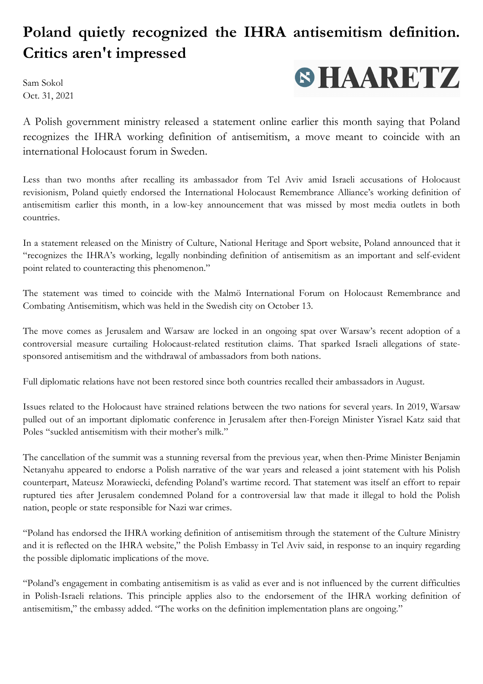## **Poland quietly recognized the IHRA antisemitism definition. Critics aren't impressed**

Sam Sokol Oct. 31, 2021



A Polish government ministry released a statement online earlier this month saying that Poland recognizes the IHRA working definition of antisemitism, a move meant to coincide with an international Holocaust forum in Sweden.

Less than two months after recalling its ambassador from Tel Aviv amid Israeli accusations of Holocaust revisionism, Poland quietly endorsed the International Holocaust Remembrance Alliance's working definition of antisemitism earlier this month, in a low-key announcement that was missed by most media outlets in both countries.

In a statement released on the Ministry of Culture, National Heritage and Sport website, Poland announced that it "recognizes the IHRA's working, legally nonbinding definition of antisemitism as an important and self-evident point related to counteracting this phenomenon."

The statement was timed to coincide with the Malmö International Forum on Holocaust Remembrance and Combating Antisemitism, which was held in the Swedish city on October 13.

The move comes as Jerusalem and Warsaw are locked in an ongoing spat over Warsaw's recent adoption of a controversial measure curtailing Holocaust-related restitution claims. That sparked Israeli allegations of statesponsored antisemitism and the withdrawal of ambassadors from both nations.

Full diplomatic relations have not been restored since both countries recalled their ambassadors in August.

Issues related to the Holocaust have strained relations between the two nations for several years. In 2019, Warsaw pulled out of an important diplomatic conference in Jerusalem after then-Foreign Minister Yisrael Katz said that Poles "suckled antisemitism with their mother's milk."

The cancellation of the summit was a stunning reversal from the previous year, when then-Prime Minister Benjamin Netanyahu appeared to endorse a Polish narrative of the war years and released a joint statement with his Polish counterpart, Mateusz Morawiecki, defending Poland's wartime record. That statement was itself an effort to repair ruptured ties after Jerusalem condemned Poland for a controversial law that made it illegal to hold the Polish nation, people or state responsible for Nazi war crimes.

"Poland has endorsed the IHRA working definition of antisemitism through the statement of the Culture Ministry and it is reflected on the IHRA website," the Polish Embassy in Tel Aviv said, in response to an inquiry regarding the possible diplomatic implications of the move.

"Poland's engagement in combating antisemitism is as valid as ever and is not influenced by the current difficulties in Polish-Israeli relations. This principle applies also to the endorsement of the IHRA working definition of antisemitism," the embassy added. "The works on the definition implementation plans are ongoing."